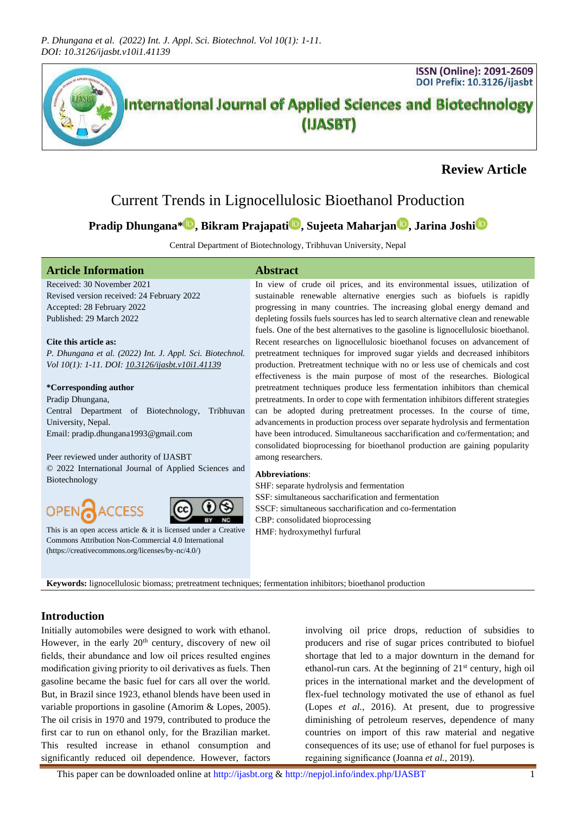

# **Review Article**

# Current Trends in Lignocellulosic Bioethanol Production

# **Pradip Dhungana[\\*](http://orcid.org/0000-0001-5585-5899) , Bikram Prajapat[i](http://orcid.org/0000-0002-9502-9687) , Sujeeta Maharjan [,](http://orcid.org/0000-0002-2496-5814) Jarina Joshi**

Central Department of Biotechnology, Tribhuvan University, Nepal

## **Article Information Abstract**

Received: 30 November 2021 Revised version received: 24 February 2022 Accepted: 28 February 2022 Published: 29 March 2022

#### **Cite this article as:**

*P. Dhungana et al. (2022) Int. J. Appl. Sci. Biotechnol. Vol 10(1): 1-11. DOI[: 10.3126/ijasbt.v10i1.41139](https://doi.org/10.3126/ijasbt.v10i1.41139)*

#### **\*Corresponding author**

Pradip Dhungana, Central Department of Biotechnology, Tribhuvan University, Nepal. Email: pradip.dhungana1993@gmail.com

#### Peer reviewed under authority of IJASBT

ACCESS

© 2022 International Journal of Applied Sciences and Biotechnology



This is an open access article  $\&$  it is licensed under a Creative [Commons Attribution Non-Commercial 4.0 International](https://creativecommons.org/licenses/by-nc/4.0/) [\(https://creativecommons.org/licenses/by-nc/4.0/\)](https://creativecommons.org/licenses/by-nc/4.0/)

In view of crude oil prices, and its environmental issues, utilization of sustainable renewable alternative energies such as biofuels is rapidly progressing in many countries. The increasing global energy demand and depleting fossils fuels sources has led to search alternative clean and renewable fuels. One of the best alternatives to the gasoline is lignocellulosic bioethanol. Recent researches on lignocellulosic bioethanol focuses on advancement of pretreatment techniques for improved sugar yields and decreased inhibitors production. Pretreatment technique with no or less use of chemicals and cost effectiveness is the main purpose of most of the researches. Biological pretreatment techniques produce less fermentation inhibitors than chemical pretreatments. In order to cope with fermentation inhibitors different strategies can be adopted during pretreatment processes. In the course of time, advancements in production process over separate hydrolysis and fermentation have been introduced. Simultaneous saccharification and co/fermentation; and consolidated bioprocessing for bioethanol production are gaining popularity among researchers.

#### **Abbreviations**:

SHF: separate hydrolysis and fermentation SSF: simultaneous saccharification and fermentation SSCF: simultaneous saccharification and co-fermentation CBP: consolidated bioprocessing HMF: hydroxymethyl furfural

**Keywords:** lignocellulosic biomass; pretreatment techniques; fermentation inhibitors; bioethanol production

## **Introduction**

OPEN

Initially automobiles were designed to work with ethanol. However, in the early  $20<sup>th</sup>$  century, discovery of new oil fields, their abundance and low oil prices resulted engines modification giving priority to oil derivatives as fuels. Then gasoline became the basic fuel for cars all over the world. But, in Brazil since 1923, ethanol blends have been used in variable proportions in gasoline (Amorim & Lopes, 2005). The oil crisis in 1970 and 1979, contributed to produce the first car to run on ethanol only, for the Brazilian market. This resulted increase in ethanol consumption and significantly reduced oil dependence. However, factors

involving oil price drops, reduction of subsidies to producers and rise of sugar prices contributed to biofuel shortage that led to a major downturn in the demand for ethanol-run cars. At the beginning of  $21<sup>st</sup>$  century, high oil prices in the international market and the development of flex-fuel technology motivated the use of ethanol as fuel (Lopes *et al.*, 2016). At present, due to progressive diminishing of petroleum reserves, dependence of many countries on import of this raw material and negative consequences of its use; use of ethanol for fuel purposes is regaining significance (Joanna *et al.*, 2019).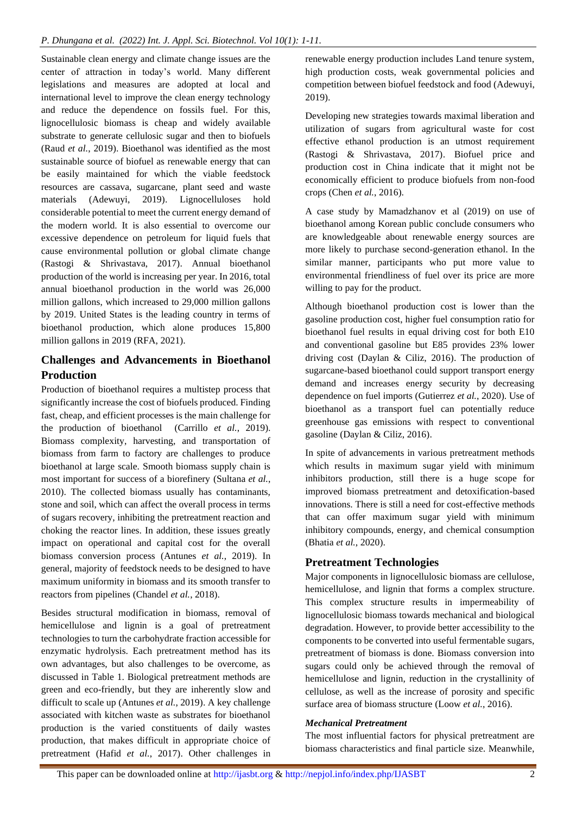Sustainable clean energy and climate change issues are the center of attraction in today's world. Many different legislations and measures are adopted at local and international level to improve the clean energy technology and reduce the dependence on fossils fuel. For this, lignocellulosic biomass is cheap and widely available substrate to generate cellulosic sugar and then to biofuels (Raud *et al.*, 2019). Bioethanol was identified as the most sustainable source of biofuel as renewable energy that can be easily maintained for which the viable feedstock resources are cassava, sugarcane, plant seed and waste materials (Adewuyi, 2019). Lignocelluloses hold considerable potential to meet the current energy demand of the modern world. It is also essential to overcome our excessive dependence on petroleum for liquid fuels that cause environmental pollution or global climate change (Rastogi & Shrivastava, 2017). Annual bioethanol production of the world is increasing per year. In 2016, total annual bioethanol production in the world was 26,000 million gallons, which increased to 29,000 million gallons by 2019. United States is the leading country in terms of bioethanol production, which alone produces 15,800 million gallons in 2019 (RFA, 2021).

## **Challenges and Advancements in Bioethanol Production**

Production of bioethanol requires a multistep process that significantly increase the cost of biofuels produced. Finding fast, cheap, and efficient processes is the main challenge for the production of bioethanol (Carrillo *et al.*, 2019). Biomass complexity, harvesting, and transportation of biomass from farm to factory are challenges to produce bioethanol at large scale. Smooth biomass supply chain is most important for success of a biorefinery (Sultana *et al.*, 2010). The collected biomass usually has contaminants, stone and soil, which can affect the overall process in terms of sugars recovery, inhibiting the pretreatment reaction and choking the reactor lines. In addition, these issues greatly impact on operational and capital cost for the overall biomass conversion process (Antunes *et al.*, 2019). In general, majority of feedstock needs to be designed to have maximum uniformity in biomass and its smooth transfer to reactors from pipelines (Chandel *et al.*, 2018).

Besides structural modification in biomass, removal of hemicellulose and lignin is a goal of pretreatment technologies to turn the carbohydrate fraction accessible for enzymatic hydrolysis. Each pretreatment method has its own advantages, but also challenges to be overcome, as discussed in Table 1. Biological pretreatment methods are green and eco-friendly, but they are inherently slow and difficult to scale up (Antunes *et al.*, 2019). A key challenge associated with kitchen waste as substrates for bioethanol production is the varied constituents of daily wastes production, that makes difficult in appropriate choice of pretreatment (Hafid *et al.*, 2017). Other challenges in

renewable energy production includes Land tenure system, high production costs, weak governmental policies and competition between biofuel feedstock and food (Adewuyi, 2019).

Developing new strategies towards maximal liberation and utilization of sugars from agricultural waste for cost effective ethanol production is an utmost requirement (Rastogi & Shrivastava, 2017). Biofuel price and production cost in China indicate that it might not be economically efficient to produce biofuels from non-food crops (Chen *et al.*, 2016).

A case study by Mamadzhanov et al (2019) on use of bioethanol among Korean public conclude consumers who are knowledgeable about renewable energy sources are more likely to purchase second-generation ethanol. In the similar manner, participants who put more value to environmental friendliness of fuel over its price are more willing to pay for the product.

Although bioethanol production cost is lower than the gasoline production cost, higher fuel consumption ratio for bioethanol fuel results in equal driving cost for both E10 and conventional gasoline but E85 provides 23% lower driving cost (Daylan & Ciliz, 2016). The production of sugarcane-based bioethanol could support transport energy demand and increases energy security by decreasing dependence on fuel imports (Gutierrez *et al.*, 2020). Use of bioethanol as a transport fuel can potentially reduce greenhouse gas emissions with respect to conventional gasoline (Daylan & Ciliz, 2016).

In spite of advancements in various pretreatment methods which results in maximum sugar yield with minimum inhibitors production, still there is a huge scope for improved biomass pretreatment and detoxification-based innovations. There is still a need for cost-effective methods that can offer maximum sugar yield with minimum inhibitory compounds, energy, and chemical consumption (Bhatia *et al.*, 2020).

## **Pretreatment Technologies**

Major components in lignocellulosic biomass are cellulose, hemicellulose, and lignin that forms a complex structure. This complex structure results in impermeability of lignocellulosic biomass towards mechanical and biological degradation. However, to provide better accessibility to the components to be converted into useful fermentable sugars, pretreatment of biomass is done. Biomass conversion into sugars could only be achieved through the removal of hemicellulose and lignin, reduction in the crystallinity of cellulose, as well as the increase of porosity and specific surface area of biomass structure (Loow *et al.*, 2016).

## *Mechanical Pretreatment*

The most influential factors for physical pretreatment are biomass characteristics and final particle size. Meanwhile,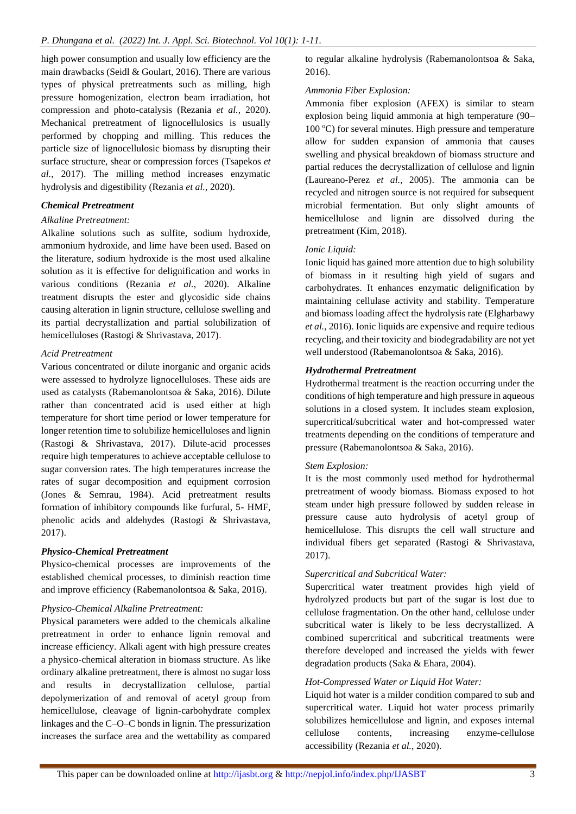high power consumption and usually low efficiency are the main drawbacks (Seidl & Goulart, 2016). There are various types of physical pretreatments such as milling, high pressure homogenization, electron beam irradiation, hot compression and photo-catalysis (Rezania *et al.*, 2020). Mechanical pretreatment of lignocellulosics is usually performed by chopping and milling. This reduces the particle size of lignocellulosic biomass by disrupting their surface structure, shear or compression forces (Tsapekos *et al.*, 2017). The milling method increases enzymatic hydrolysis and digestibility (Rezania *et al.*, 2020).

## *Chemical Pretreatment*

## *Alkaline Pretreatment:*

Alkaline solutions such as sulfite, sodium hydroxide, ammonium hydroxide, and lime have been used. Based on the literature, sodium hydroxide is the most used alkaline solution as it is effective for delignification and works in various conditions (Rezania *et al.*, 2020). Alkaline treatment disrupts the ester and glycosidic side chains causing alteration in lignin structure, cellulose swelling and its partial decrystallization and partial solubilization of hemicelluloses (Rastogi & Shrivastava, 2017).

## *Acid Pretreatment*

Various concentrated or dilute inorganic and organic acids were assessed to hydrolyze lignocelluloses. These aids are used as catalysts (Rabemanolontsoa & Saka, 2016). Dilute rather than concentrated acid is used either at high temperature for short time period or lower temperature for longer retention time to solubilize hemicelluloses and lignin (Rastogi & Shrivastava, 2017). Dilute-acid processes require high temperatures to achieve acceptable cellulose to sugar conversion rates. The high temperatures increase the rates of sugar decomposition and equipment corrosion (Jones & Semrau, 1984). Acid pretreatment results formation of inhibitory compounds like furfural, 5- HMF, phenolic acids and aldehydes (Rastogi & Shrivastava, 2017).

## *Physico-Chemical Pretreatment*

Physico-chemical processes are improvements of the established chemical processes, to diminish reaction time and improve efficiency (Rabemanolontsoa & Saka, 2016).

## *Physico-Chemical Alkaline Pretreatment:*

Physical parameters were added to the chemicals alkaline pretreatment in order to enhance lignin removal and increase efficiency. Alkali agent with high pressure creates a physico-chemical alteration in biomass structure. As like ordinary alkaline pretreatment, there is almost no sugar loss and results in decrystallization cellulose, partial depolymerization of and removal of acetyl group from hemicellulose, cleavage of lignin-carbohydrate complex linkages and the C–O–C bonds in lignin. The pressurization increases the surface area and the wettability as compared to regular alkaline hydrolysis (Rabemanolontsoa & Saka, 2016).

## *Ammonia Fiber Explosion:*

Ammonia fiber explosion (AFEX) is similar to steam explosion being liquid ammonia at high temperature (90– 100  $^{\circ}$ C) for several minutes. High pressure and temperature allow for sudden expansion of ammonia that causes swelling and physical breakdown of biomass structure and partial reduces the decrystallization of cellulose and lignin (Laureano-Perez *et al.*, 2005). The ammonia can be recycled and nitrogen source is not required for subsequent microbial fermentation. But only slight amounts of hemicellulose and lignin are dissolved during the pretreatment (Kim, 2018).

## *Ionic Liquid:*

Ionic liquid has gained more attention due to high solubility of biomass in it resulting high yield of sugars and carbohydrates. It enhances enzymatic delignification by maintaining cellulase activity and stability. Temperature and biomass loading affect the hydrolysis rate (Elgharbawy *et al.*, 2016). Ionic liquids are expensive and require tedious recycling, and their toxicity and biodegradability are not yet well understood (Rabemanolontsoa & Saka, 2016).

## *Hydrothermal Pretreatment*

Hydrothermal treatment is the reaction occurring under the conditions of high temperature and high pressure in aqueous solutions in a closed system. It includes steam explosion, supercritical/subcritical water and hot-compressed water treatments depending on the conditions of temperature and pressure (Rabemanolontsoa & Saka, 2016).

## *Stem Explosion:*

It is the most commonly used method for hydrothermal pretreatment of woody biomass. Biomass exposed to hot steam under high pressure followed by sudden release in pressure cause auto hydrolysis of acetyl group of hemicellulose. This disrupts the cell wall structure and individual fibers get separated (Rastogi & Shrivastava, 2017).

## *Supercritical and Subcritical Water:*

Supercritical water treatment provides high yield of hydrolyzed products but part of the sugar is lost due to cellulose fragmentation. On the other hand, cellulose under subcritical water is likely to be less decrystallized. A combined supercritical and subcritical treatments were therefore developed and increased the yields with fewer degradation products (Saka & Ehara, 2004).

## *Hot-Compressed Water or Liquid Hot Water:*

Liquid hot water is a milder condition compared to sub and supercritical water. Liquid hot water process primarily solubilizes hemicellulose and lignin, and exposes internal cellulose contents, increasing enzyme-cellulose accessibility (Rezania *et al.*, 2020).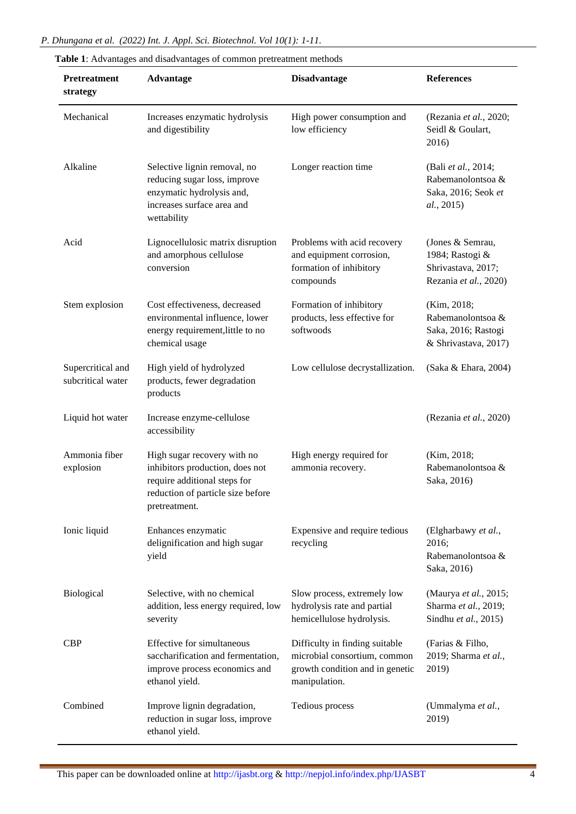| P. Dhungana et al. (2022) Int. J. Appl. Sci. Biotechnol. Vol 10(1): 1-11. |  |  |
|---------------------------------------------------------------------------|--|--|
|                                                                           |  |  |

| Pretreatment<br>strategy               | one 1. The validates and disadvaluates of common pretreatment includes<br><b>Advantage</b>                                                           | <b>Disadvantage</b>                                                                                                | <b>References</b>                                                                  |
|----------------------------------------|------------------------------------------------------------------------------------------------------------------------------------------------------|--------------------------------------------------------------------------------------------------------------------|------------------------------------------------------------------------------------|
| Mechanical                             | Increases enzymatic hydrolysis<br>and digestibility                                                                                                  | High power consumption and<br>low efficiency                                                                       | (Rezania et al., 2020;<br>Seidl & Goulart,<br>2016)                                |
| Alkaline                               | Selective lignin removal, no<br>reducing sugar loss, improve<br>enzymatic hydrolysis and,<br>increases surface area and<br>wettability               | Longer reaction time                                                                                               | (Bali et al., 2014;<br>Rabemanolontsoa &<br>Saka, 2016; Seok et<br>al., 2015)      |
| Acid                                   | Lignocellulosic matrix disruption<br>and amorphous cellulose<br>conversion                                                                           | Problems with acid recovery<br>and equipment corrosion,<br>formation of inhibitory<br>compounds                    | (Jones & Semrau,<br>1984; Rastogi &<br>Shrivastava, 2017;<br>Rezania et al., 2020) |
| Stem explosion                         | Cost effectiveness, decreased<br>environmental influence, lower<br>energy requirement, little to no<br>chemical usage                                | Formation of inhibitory<br>products, less effective for<br>softwoods                                               | (Kim, 2018;<br>Rabemanolontsoa &<br>Saka, 2016; Rastogi<br>& Shrivastava, 2017)    |
| Supercritical and<br>subcritical water | High yield of hydrolyzed<br>products, fewer degradation<br>products                                                                                  | Low cellulose decrystallization.                                                                                   | (Saka & Ehara, 2004)                                                               |
| Liquid hot water                       | Increase enzyme-cellulose<br>accessibility                                                                                                           |                                                                                                                    | (Rezania et al., 2020)                                                             |
| Ammonia fiber<br>explosion             | High sugar recovery with no<br>inhibitors production, does not<br>require additional steps for<br>reduction of particle size before<br>pretreatment. | High energy required for<br>ammonia recovery.                                                                      | (Kim, 2018;<br>Rabemanolontsoa &<br>Saka, 2016)                                    |
| Ionic liquid                           | Enhances enzymatic<br>delignification and high sugar<br>yield                                                                                        | Expensive and require tedious<br>recycling                                                                         | (Elgharbawy et al.,<br>2016;<br>Rabemanolontsoa &<br>Saka, 2016)                   |
| Biological                             | Selective, with no chemical<br>addition, less energy required, low<br>severity                                                                       | Slow process, extremely low<br>hydrolysis rate and partial<br>hemicellulose hydrolysis.                            | (Maurya et al., 2015;<br>Sharma et al., 2019;<br>Sindhu et al., 2015)              |
| <b>CBP</b>                             | Effective for simultaneous<br>saccharification and fermentation,<br>improve process economics and<br>ethanol yield.                                  | Difficulty in finding suitable<br>microbial consortium, common<br>growth condition and in genetic<br>manipulation. | (Farias & Filho,<br>2019; Sharma et al.,<br>2019)                                  |
| Combined                               | Improve lignin degradation,<br>reduction in sugar loss, improve<br>ethanol yield.                                                                    | Tedious process                                                                                                    | (Ummalyma et al.,<br>2019)                                                         |

| Table 1: Advantages and disadvantages of common pretreatment methods |  |  |  |  |  |  |  |  |
|----------------------------------------------------------------------|--|--|--|--|--|--|--|--|
|----------------------------------------------------------------------|--|--|--|--|--|--|--|--|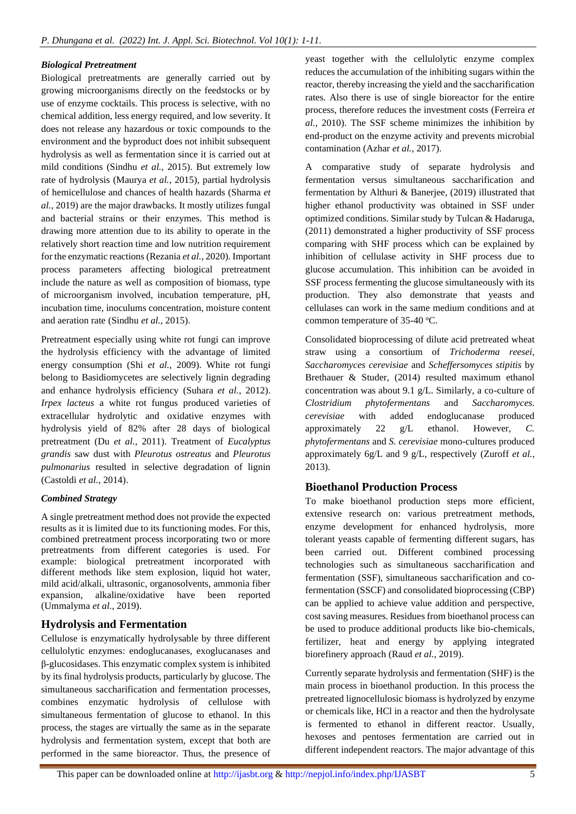## *Biological Pretreatment*

Biological pretreatments are generally carried out by growing microorganisms directly on the feedstocks or by use of enzyme cocktails. This process is selective, with no chemical addition, less energy required, and low severity. It does not release any hazardous or toxic compounds to the environment and the byproduct does not inhibit subsequent hydrolysis as well as fermentation since it is carried out at mild conditions (Sindhu *et al.*, 2015). But extremely low rate of hydrolysis (Maurya *et al.*, 2015), partial hydrolysis of hemicellulose and chances of health hazards (Sharma *et al.*, 2019) are the major drawbacks. It mostly utilizes fungal and bacterial strains or their enzymes. This method is drawing more attention due to its ability to operate in the relatively short reaction time and low nutrition requirement for the enzymatic reactions (Rezania *et al.*, 2020). Important process parameters affecting biological pretreatment include the nature as well as composition of biomass, type of microorganism involved, incubation temperature, pH, incubation time, inoculums concentration, moisture content and aeration rate (Sindhu *et al.*, 2015).

Pretreatment especially using white rot fungi can improve the hydrolysis efficiency with the advantage of limited energy consumption (Shi *et al.*, 2009). White rot fungi belong to Basidiomycetes are selectively lignin degrading and enhance hydrolysis efficiency (Suhara *et al.*, 2012). *Irpex lacteus* a white rot fungus produced varieties of extracellular hydrolytic and oxidative enzymes with hydrolysis yield of 82% after 28 days of biological pretreatment (Du *et al.*, 2011). Treatment of *Eucalyptus grandis* saw dust with *Pleurotus ostreatus* and *Pleurotus pulmonarius* resulted in selective degradation of lignin (Castoldi *et al.*, 2014).

## *Combined Strategy*

A single pretreatment method does not provide the expected results as it is limited due to its functioning modes. For this, combined pretreatment process incorporating two or more pretreatments from different categories is used. For example: biological pretreatment incorporated with different methods like stem explosion, liquid hot water, mild acid/alkali, ultrasonic, organosolvents, ammonia fiber expansion, alkaline/oxidative have been reported (Ummalyma *et al.*, 2019).

## **Hydrolysis and Fermentation**

Cellulose is enzymatically hydrolysable by three different cellulolytic enzymes: endoglucanases, exoglucanases and β-glucosidases. This enzymatic complex system is inhibited by its final hydrolysis products, particularly by glucose. The simultaneous saccharification and fermentation processes, combines enzymatic hydrolysis of cellulose with simultaneous fermentation of glucose to ethanol. In this process, the stages are virtually the same as in the separate hydrolysis and fermentation system, except that both are performed in the same bioreactor. Thus, the presence of yeast together with the cellulolytic enzyme complex reduces the accumulation of the inhibiting sugars within the reactor, thereby increasing the yield and the saccharification rates. Also there is use of single bioreactor for the entire process, therefore reduces the investment costs (Ferreira *et al.*, 2010). The SSF scheme minimizes the inhibition by end-product on the enzyme activity and prevents microbial contamination (Azhar *et al.*, 2017).

A comparative study of separate hydrolysis and fermentation versus simultaneous saccharification and fermentation by Althuri & Banerjee, (2019) illustrated that higher ethanol productivity was obtained in SSF under optimized conditions. Similar study by Tulcan & Hadaruga, (2011) demonstrated a higher productivity of SSF process comparing with SHF process which can be explained by inhibition of cellulase activity in SHF process due to glucose accumulation. This inhibition can be avoided in SSF process fermenting the glucose simultaneously with its production. They also demonstrate that yeasts and cellulases can work in the same medium conditions and at common temperature of  $35-40$  °C.

Consolidated bioprocessing of dilute acid pretreated wheat straw using a consortium of *Trichoderma reesei, Saccharomyces cerevisiae* and *Scheffersomyces stipitis* by Brethauer & Studer, (2014) resulted maximum ethanol concentration was about 9.1 g/L. Similarly, a co-culture of *Clostridium phytofermentans* and *Saccharomyces. cerevisiae* with added endoglucanase produced approximately 22 g/L ethanol. However, *C. phytofermentans* and *S. cerevisiae* mono-cultures produced approximately 6g/L and 9 g/L, respectively (Zuroff *et al.*, 2013).

## **Bioethanol Production Process**

To make bioethanol production steps more efficient, extensive research on: various pretreatment methods, enzyme development for enhanced hydrolysis, more tolerant yeasts capable of fermenting different sugars, has been carried out. Different combined processing technologies such as simultaneous saccharification and fermentation (SSF), simultaneous saccharification and cofermentation (SSCF) and consolidated bioprocessing (CBP) can be applied to achieve value addition and perspective, cost saving measures. Residues from bioethanol process can be used to produce additional products like bio-chemicals, fertilizer, heat and energy by applying integrated biorefinery approach (Raud *et al.*, 2019).

Currently separate hydrolysis and fermentation (SHF) is the main process in bioethanol production. In this process the pretreated lignocellulosic biomass is hydrolyzed by enzyme or chemicals like, HCl in a reactor and then the hydrolysate is fermented to ethanol in different reactor. Usually, hexoses and pentoses fermentation are carried out in different independent reactors. The major advantage of this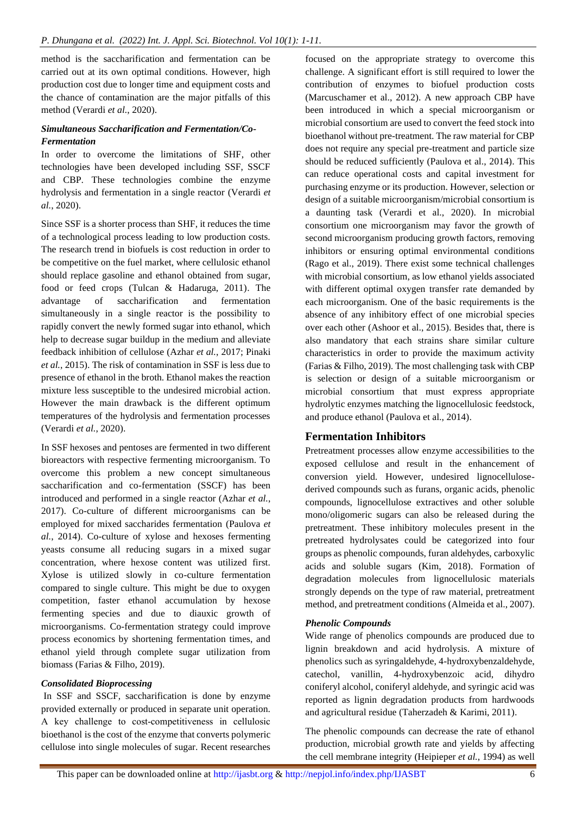method is the saccharification and fermentation can be carried out at its own optimal conditions. However, high production cost due to longer time and equipment costs and the chance of contamination are the major pitfalls of this method (Verardi *et al.*, 2020).

## *Simultaneous Saccharification and Fermentation/Co-Fermentation*

In order to overcome the limitations of SHF, other technologies have been developed including SSF, SSCF and CBP. These technologies combine the enzyme hydrolysis and fermentation in a single reactor (Verardi *et al.*, 2020).

Since SSF is a shorter process than SHF, it reduces the time of a technological process leading to low production costs. The research trend in biofuels is cost reduction in order to be competitive on the fuel market, where cellulosic ethanol should replace gasoline and ethanol obtained from sugar, food or feed crops (Tulcan & Hadaruga, 2011). The advantage of saccharification and fermentation simultaneously in a single reactor is the possibility to rapidly convert the newly formed sugar into ethanol, which help to decrease sugar buildup in the medium and alleviate feedback inhibition of cellulose (Azhar *et al.*, 2017; Pinaki *et al.*, 2015). The risk of contamination in SSF is less due to presence of ethanol in the broth. Ethanol makes the reaction mixture less susceptible to the undesired microbial action. However the main drawback is the different optimum temperatures of the hydrolysis and fermentation processes (Verardi *et al.*, 2020).

In SSF hexoses and pentoses are fermented in two different bioreactors with respective fermenting microorganism. To overcome this problem a new concept simultaneous saccharification and co-fermentation (SSCF) has been introduced and performed in a single reactor (Azhar *et al.*, 2017). Co-culture of different microorganisms can be employed for mixed saccharides fermentation (Paulova *et al.*, 2014). Co-culture of xylose and hexoses fermenting yeasts consume all reducing sugars in a mixed sugar concentration, where hexose content was utilized first. Xylose is utilized slowly in co-culture fermentation compared to single culture. This might be due to oxygen competition, faster ethanol accumulation by hexose fermenting species and due to diauxic growth of microorganisms. Co-fermentation strategy could improve process economics by shortening fermentation times, and ethanol yield through complete sugar utilization from biomass (Farias & Filho, 2019).

## *Consolidated Bioprocessing*

In SSF and SSCF, saccharification is done by enzyme provided externally or produced in separate unit operation. A key challenge to cost-competitiveness in cellulosic bioethanol is the cost of the enzyme that converts polymeric cellulose into single molecules of sugar. Recent researches focused on the appropriate strategy to overcome this challenge. A significant effort is still required to lower the contribution of enzymes to biofuel production costs (Marcuschamer et al., 2012). A new approach CBP have been introduced in which a special microorganism or microbial consortium are used to convert the feed stock into bioethanol without pre-treatment. The raw material for CBP does not require any special pre-treatment and particle size should be reduced sufficiently (Paulova et al., 2014). This can reduce operational costs and capital investment for purchasing enzyme or its production. However, selection or design of a suitable microorganism/microbial consortium is a daunting task (Verardi et al., 2020). In microbial consortium one microorganism may favor the growth of second microorganism producing growth factors, removing inhibitors or ensuring optimal environmental conditions (Rago et al., 2019). There exist some technical challenges with microbial consortium, as low ethanol yields associated with different optimal oxygen transfer rate demanded by each microorganism. One of the basic requirements is the absence of any inhibitory effect of one microbial species over each other (Ashoor et al., 2015). Besides that, there is also mandatory that each strains share similar culture characteristics in order to provide the maximum activity (Farias & Filho, 2019). The most challenging task with CBP is selection or design of a suitable microorganism or microbial consortium that must express appropriate hydrolytic enzymes matching the lignocellulosic feedstock, and produce ethanol (Paulova et al., 2014).

## **Fermentation Inhibitors**

Pretreatment processes allow enzyme accessibilities to the exposed cellulose and result in the enhancement of conversion yield. However, undesired lignocellulosederived compounds such as furans, organic acids, phenolic compounds, lignocellulose extractives and other soluble mono/oligomeric sugars can also be released during the pretreatment. These inhibitory molecules present in the pretreated hydrolysates could be categorized into four groups as phenolic compounds, furan aldehydes, carboxylic acids and soluble sugars (Kim, 2018). Formation of degradation molecules from lignocellulosic materials strongly depends on the type of raw material, pretreatment method, and pretreatment conditions (Almeida et al., 2007).

## *Phenolic Compounds*

Wide range of phenolics compounds are produced due to lignin breakdown and acid hydrolysis. A mixture of phenolics such as syringaldehyde, 4-hydroxybenzaldehyde, catechol, vanillin, 4-hydroxybenzoic acid, dihydro coniferyl alcohol, coniferyl aldehyde, and syringic acid was reported as lignin degradation products from hardwoods and agricultural residue (Taherzadeh & Karimi, 2011).

The phenolic compounds can decrease the rate of ethanol production, microbial growth rate and yields by affecting the cell membrane integrity (Heipieper *et al.*, 1994) as well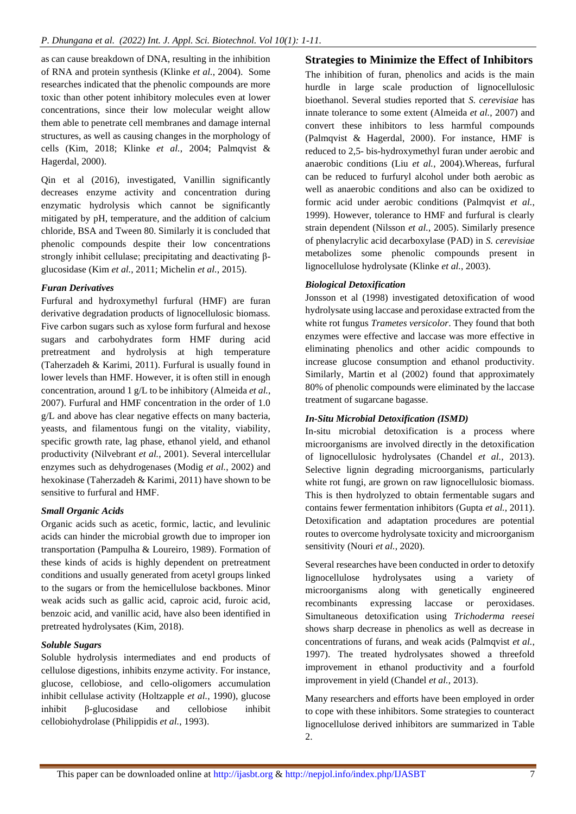as can cause breakdown of DNA, resulting in the inhibition of RNA and protein synthesis (Klinke *et al.*, 2004). Some researches indicated that the phenolic compounds are more toxic than other potent inhibitory molecules even at lower concentrations, since their low molecular weight allow them able to penetrate cell membranes and damage internal structures, as well as causing changes in the morphology of cells (Kim, 2018; Klinke *et al.*, 2004; Palmqvist & Hagerdal, 2000).

Qin et al (2016), investigated, Vanillin significantly decreases enzyme activity and concentration during enzymatic hydrolysis which cannot be significantly mitigated by pH, temperature, and the addition of calcium chloride, BSA and Tween 80. Similarly it is concluded that phenolic compounds despite their low concentrations strongly inhibit cellulase; precipitating and deactivating βglucosidase (Kim *et al.*, 2011; Michelin *et al.*, 2015).

## *Furan Derivatives*

Furfural and hydroxymethyl furfural (HMF) are furan derivative degradation products of lignocellulosic biomass. Five carbon sugars such as xylose form furfural and hexose sugars and carbohydrates form HMF during acid pretreatment and hydrolysis at high temperature (Taherzadeh & Karimi, 2011). Furfural is usually found in lower levels than HMF. However, it is often still in enough concentration, around 1 g/L to be inhibitory (Almeida *et al.*, 2007). Furfural and HMF concentration in the order of 1.0 g/L and above has clear negative effects on many bacteria, yeasts, and filamentous fungi on the vitality, viability, specific growth rate, lag phase, ethanol yield, and ethanol productivity (Nilvebrant *et al.*, 2001). Several intercellular enzymes such as dehydrogenases (Modig *et al.*, 2002) and hexokinase (Taherzadeh & Karimi, 2011) have shown to be sensitive to furfural and HMF.

## *Small Organic Acids*

Organic acids such as acetic, formic, lactic, and levulinic acids can hinder the microbial growth due to improper ion transportation (Pampulha & Loureiro, 1989). Formation of these kinds of acids is highly dependent on pretreatment conditions and usually generated from acetyl groups linked to the sugars or from the hemicellulose backbones. Minor weak acids such as gallic acid, caproic acid, furoic acid, benzoic acid, and vanillic acid, have also been identified in pretreated hydrolysates (Kim, 2018).

## *Soluble Sugars*

Soluble hydrolysis intermediates and end products of cellulose digestions, inhibits enzyme activity. For instance, glucose, cellobiose, and cello-oligomers accumulation inhibit cellulase activity (Holtzapple *et al.*, 1990), glucose inhibit β-glucosidase and cellobiose inhibit cellobiohydrolase (Philippidis *et al.*, 1993).

## **Strategies to Minimize the Effect of Inhibitors**

The inhibition of furan, phenolics and acids is the main hurdle in large scale production of lignocellulosic bioethanol. Several studies reported that *S. cerevisiae* has innate tolerance to some extent (Almeida *et al.*, 2007) and convert these inhibitors to less harmful compounds (Palmqvist & Hagerdal, 2000). For instance, HMF is reduced to 2,5- bis-hydroxymethyl furan under aerobic and anaerobic conditions (Liu *et al.*, 2004).Whereas, furfural can be reduced to furfuryl alcohol under both aerobic as well as anaerobic conditions and also can be oxidized to formic acid under aerobic conditions (Palmqvist *et al.*, 1999). However, tolerance to HMF and furfural is clearly strain dependent (Nilsson *et al.*, 2005). Similarly presence of phenylacrylic acid decarboxylase (PAD) in *S. cerevisiae* metabolizes some phenolic compounds present in lignocellulose hydrolysate (Klinke *et al.*, 2003).

## *Biological Detoxification*

Jonsson et al (1998) investigated detoxification of wood hydrolysate using laccase and peroxidase extracted from the white rot fungus *Trametes versicolor*. They found that both enzymes were effective and laccase was more effective in eliminating phenolics and other acidic compounds to increase glucose consumption and ethanol productivity. Similarly, Martin et al (2002) found that approximately 80% of phenolic compounds were eliminated by the laccase treatment of sugarcane bagasse.

## *In-Situ Microbial Detoxification (ISMD)*

In-situ microbial detoxification is a process where microorganisms are involved directly in the detoxification of lignocellulosic hydrolysates (Chandel *et al.*, 2013). Selective lignin degrading microorganisms, particularly white rot fungi, are grown on raw lignocellulosic biomass. This is then hydrolyzed to obtain fermentable sugars and contains fewer fermentation inhibitors (Gupta *et al.*, 2011). Detoxification and adaptation procedures are potential routes to overcome hydrolysate toxicity and microorganism sensitivity (Nouri *et al.*, 2020).

Several researches have been conducted in order to detoxify lignocellulose hydrolysates using a variety of microorganisms along with genetically engineered recombinants expressing laccase or peroxidases. Simultaneous detoxification using *Trichoderma reesei*  shows sharp decrease in phenolics as well as decrease in concentrations of furans, and weak acids (Palmqvist *et al.*, 1997). The treated hydrolysates showed a threefold improvement in ethanol productivity and a fourfold improvement in yield (Chandel *et al.*, 2013).

Many researchers and efforts have been employed in order to cope with these inhibitors. Some strategies to counteract lignocellulose derived inhibitors are summarized in Table 2.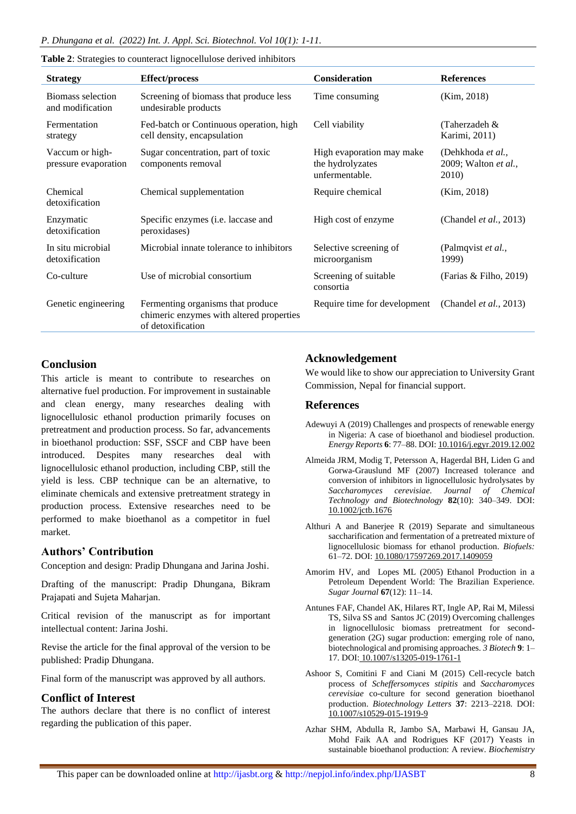| <b>Strategy</b>                         | <b>Effect/process</b>                                                                              | <b>Consideration</b>                                            | <b>References</b>                                  |
|-----------------------------------------|----------------------------------------------------------------------------------------------------|-----------------------------------------------------------------|----------------------------------------------------|
| Biomass selection<br>and modification   | Screening of biomass that produce less<br>undesirable products                                     | Time consuming                                                  | (Kim, 2018)                                        |
| Fermentation<br>strategy                | Fed-batch or Continuous operation, high<br>cell density, encapsulation                             | Cell viability                                                  | (Taherzadeh &<br>Karimi, 2011)                     |
| Vaccum or high-<br>pressure evaporation | Sugar concentration, part of toxic<br>components removal                                           | High evaporation may make<br>the hydrolyzates<br>unfermentable. | (Dehkhoda et al.,<br>2009; Walton et al.,<br>2010) |
| Chemical<br>detoxification              | Chemical supplementation                                                                           | Require chemical                                                | (Kim, 2018)                                        |
| Enzymatic<br>detoxification             | Specific enzymes (i.e. laccase and<br>peroxidases)                                                 | High cost of enzyme                                             | (Chandel <i>et al.</i> , 2013)                     |
| In situ microbial<br>detoxification     | Microbial innate tolerance to inhibitors                                                           | Selective screening of<br>microorganism                         | (Palmqvist et al.,<br>1999)                        |
| Co-culture                              | Use of microbial consortium                                                                        | Screening of suitable<br>consortia                              | (Farias & Filho, 2019)                             |
| Genetic engineering                     | Fermenting organisms that produce<br>chimeric enzymes with altered properties<br>of detoxification | Require time for development                                    | (Chandel <i>et al.</i> , 2013)                     |

#### **Table 2**: Strategies to counteract lignocellulose derived inhibitors

## **Conclusion**

This article is meant to contribute to researches on alternative fuel production. For improvement in sustainable and clean energy, many researches dealing with lignocellulosic ethanol production primarily focuses on pretreatment and production process. So far, advancements in bioethanol production: SSF, SSCF and CBP have been introduced. Despites many researches deal with lignocellulosic ethanol production, including CBP, still the yield is less. CBP technique can be an alternative, to eliminate chemicals and extensive pretreatment strategy in production process. Extensive researches need to be performed to make bioethanol as a competitor in fuel market.

## **Authors' Contribution**

Conception and design: Pradip Dhungana and Jarina Joshi.

Drafting of the manuscript: Pradip Dhungana, Bikram Prajapati and Sujeta Maharjan.

Critical revision of the manuscript as for important intellectual content: Jarina Joshi.

Revise the article for the final approval of the version to be published: Pradip Dhungana.

Final form of the manuscript was approved by all authors.

## **Conflict of Interest**

The authors declare that there is no conflict of interest regarding the publication of this paper.

## **Acknowledgement**

We would like to show our appreciation to University Grant Commission, Nepal for financial support.

## **References**

- Adewuyi A (2019) Challenges and prospects of renewable energy in Nigeria: A case of bioethanol and biodiesel production. *Energy Reports* **6**: 77–88. DOI[: 10.1016/j.egyr.2019.12.002](https://doi.org/10.1016/j.egyr.2019.12.002)
- Almeida JRM, Modig T, Petersson A, Hagerdal BH, Liden G and Gorwa-Grauslund MF (2007) Increased tolerance and conversion of inhibitors in lignocellulosic hydrolysates by *Saccharomyces cerevisiae*. *Journal of Chemical Technology and Biotechnology* **82**(10): 340–349. DOI: [10.1002/jctb.1676](https://doi.org/10.1002/jctb.1676)
- Althuri A and Banerjee R (2019) Separate and simultaneous saccharification and fermentation of a pretreated mixture of lignocellulosic biomass for ethanol production. *Biofuels:* 61–72. DOI[: 10.1080/17597269.2017.1409059](https://doi.org/10.1080/17597269.2017.1409059)
- Amorim HV, and Lopes ML (2005) Ethanol Production in a Petroleum Dependent World: The Brazilian Experience. *Sugar Journal* **67**(12): 11–14.
- Antunes FAF, Chandel AK, Hilares RT, Ingle AP, Rai M, Milessi TS, Silva SS and Santos JC (2019) Overcoming challenges in lignocellulosic biomass pretreatment for secondgeneration (2G) sugar production: emerging role of nano, biotechnological and promising approaches. *3 Biotech* **9**: 1– 17. DOI: [10.1007/s13205-019-1761-1](https://doi.org/10.1007/s13205-019-1761-1)
- Ashoor S, Comitini F and Ciani M (2015) Cell-recycle batch process of *Scheffersomyces stipitis* and *Saccharomyces cerevisiae* co-culture for second generation bioethanol production. *Biotechnology Letters* **37**: 2213–2218. DOI: [10.1007/s10529-015-1919-9](https://doi.org/10.1007/s10529-015-1919-9)
- Azhar SHM, Abdulla R, Jambo SA, Marbawi H, Gansau JA, Mohd Faik AA and Rodrigues KF (2017) Yeasts in sustainable bioethanol production: A review. *Biochemistry*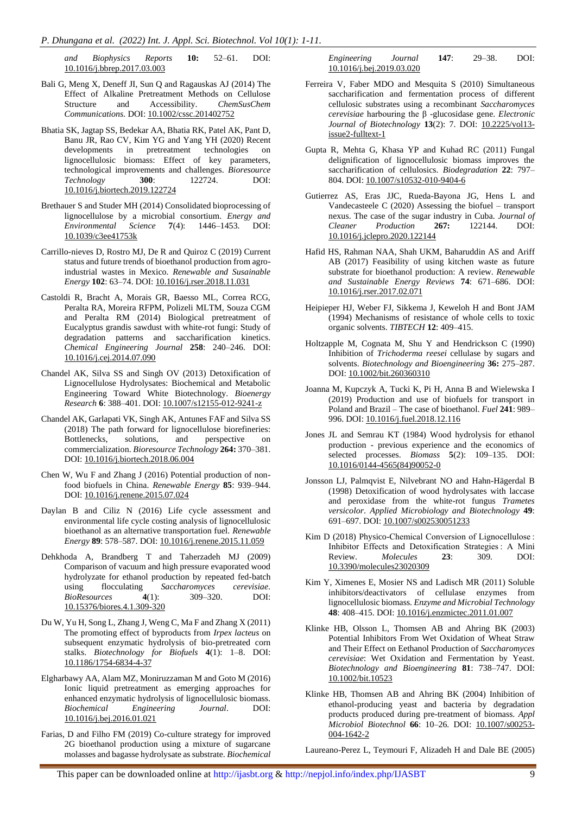*and Biophysics Reports* **10:** 52–61. DOI: [10.1016/j.bbrep.2017.03.003](https://doi.org/10.1016/j.bbrep.2017.03.003)

- Bali G, Meng X, Deneff JI, Sun Q and Ragauskas AJ (2014) The Effect of Alkaline Pretreatment Methods on Cellulose Structure and Accessibility. *ChemSusChem Communications.* DOI: [10.1002/cssc.201402752](https://doi.org/10.1002/cssc.201402752)
- Bhatia SK, Jagtap SS, Bedekar AA, Bhatia RK, Patel AK, Pant D, Banu JR, Rao CV, Kim YG and Yang YH (2020) Recent developments in pretreatment technologies on lignocellulosic biomass: Effect of key parameters, technological improvements and challenges. *Bioresource*  **Technology 300**: 122724. [10.1016/j.biortech.2019.122724](https://doi.org/10.1016/j.biortech.2019.122724)
- Brethauer S and Studer MH (2014) Consolidated bioprocessing of lignocellulose by a microbial consortium. *Energy and Environmental Science* **7**(4): 1446–1453. DOI: [10.1039/c3ee41753k](https://doi.org/10.1039/c3ee41753k)
- Carrillo-nieves D, Rostro MJ, De R and Quiroz C (2019) Current status and future trends of bioethanol production from agroindustrial wastes in Mexico. *Renewable and Susainable Energy* **102**: 63–74. DOI: [10.1016/j.rser.2018.11.031](https://doi.org/10.1016/j.rser.2018.11.031)
- Castoldi R, Bracht A, Morais GR, Baesso ML, Correa RCG, Peralta RA, Moreira RFPM, Polizeli MLTM, Souza CGM and Peralta RM (2014) Biological pretreatment of Eucalyptus grandis sawdust with white-rot fungi: Study of degradation patterns and saccharification kinetics. *Chemical Engineering Journal* **258**: 240–246. DOI: [10.1016/j.cej.2014.07.090](https://doi.org/10.1016/j.cej.2014.07.090)
- Chandel AK, Silva SS and Singh OV (2013) Detoxification of Lignocellulose Hydrolysates: Biochemical and Metabolic Engineering Toward White Biotechnology. *Bioenergy Research* **6**: 388–401. DOI[: 10.1007/s12155-012-9241-z](https://doi.org/10.1016/j.biortech.2018.06.004)
- Chandel AK, Garlapati VK, Singh AK, Antunes FAF and Silva SS (2018) The path forward for lignocellulose biorefineries: Bottlenecks, solutions, and perspective on commercialization. *Bioresource Technology* **264:** 370–381. DOI[: 10.1016/j.biortech.2018.06.004](https://doi.org/10.1016/j.biortech.2018.06.004)
- Chen W, Wu F and Zhang J (2016) Potential production of nonfood biofuels in China. *Renewable Energy* **85**: 939–944. DOI[: 10.1016/j.renene.2015.07.024](https://doi.org/10.1016/j.renene.2015.07.024)
- Daylan B and Ciliz N (2016) Life cycle assessment and environmental life cycle costing analysis of lignocellulosic bioethanol as an alternative transportation fuel. *Renewable Energy* **89**: 578–587. DOI[: 10.1016/j.renene.2015.11.059](https://doi.org/10.1016/j.renene.2015.11.059)
- Dehkhoda A, Brandberg T and Taherzadeh MJ (2009) Comparison of vacuum and high pressure evaporated wood hydrolyzate for ethanol production by repeated fed-batch using flocculating *Saccharomyces cerevisiae*. *BioResources* **4**(1): 309–320. DOI: [10.15376/biores.4.1.309-320](https://doi.org/10.15376/biores.4.1.309-320)
- Du W, Yu H, Song L, Zhang J, Weng C, Ma F and Zhang X (2011) The promoting effect of byproducts from *Irpex lacteus* on subsequent enzymatic hydrolysis of bio-pretreated corn stalks. *Biotechnology for Biofuels* **4**(1): 1–8. DOI: [10.1186/1754-6834-4-37](https://doi.org/10.1186/1754-6834-4-37)
- Elgharbawy AA, Alam MZ, Moniruzzaman M and Goto M (2016) Ionic liquid pretreatment as emerging approaches for enhanced enzymatic hydrolysis of lignocellulosic biomass. *Biochemical Engineering Journal*. DOI: [10.1016/j.bej.2016.01.021](https://doi.org/10.1016/j.bej.2016.01.021)
- Farias, D and Filho FM (2019) Co-culture strategy for improved 2G bioethanol production using a mixture of sugarcane molasses and bagasse hydrolysate as substrate. *Biochemical*

*Engineering Journal* **147**: 29–38. DOI: [10.1016/j.bej.2019.03.020](https://doi.org/10.1016/j.bej.2019.03.020)

- Ferreira V, Faber MDO and Mesquita S (2010) Simultaneous saccharification and fermentation process of different cellulosic substrates using a recombinant *Saccharomyces cerevisiae* harbouring the β -glucosidase gene. *Electronic Journal of Biotechnology* **13**(2): 7. DOI: [10.2225/vol13](https://doi.org/10.2225/vol13-issue2-fulltext-1) [issue2-fulltext-1](https://doi.org/10.2225/vol13-issue2-fulltext-1)
- Gupta R, Mehta G, Khasa YP and Kuhad RC (2011) Fungal delignification of lignocellulosic biomass improves the saccharification of cellulosics. *Biodegradation* **22**: 797– 804. DOI[: 10.1007/s10532-010-9404-6](https://doi.org/10.1007/s10532-010-9404-6)
- Gutierrez AS, Eras JJC, Rueda-Bayona JG, Hens L and Vandecasteele C (2020) Assessing the biofuel – transport nexus. The case of the sugar industry in Cuba. *Journal of Cleaner Production* **267:** 122144. DOI: [10.1016/j.jclepro.2020.122144](https://doi.org/10.1016/j.jclepro.2020.122144)
- Hafid HS, Rahman NAA, Shah UKM, Baharuddin AS and Ariff AB (2017) Feasibility of using kitchen waste as future substrate for bioethanol production: A review. *Renewable and Sustainable Energy Reviews* **74**: 671–686. DOI: [10.1016/j.rser.2017.02.071](https://doi.org/10.1016/j.rser.2017.02.071)
- Heipieper HJ, Weber FJ, Sikkema J, Keweloh H and Bont JAM (1994) Mechanisms of resistance of whole cells to toxic organic solvents. *TIBTECH* **12**: 409–415.
- Holtzapple M, Cognata M, Shu Y and Hendrickson C (1990) Inhibition of *Trichoderma reesei* cellulase by sugars and solvents. *Biotechnology and Bioengineering* **36:** 275–287. DOI[: 10.1002/bit.260360310](https://doi.org/10.1002/bit.260360310)
- Joanna M, Kupczyk A, Tucki K, Pi H, Anna B and Wielewska I (2019) Production and use of biofuels for transport in Poland and Brazil – The case of bioethanol. *Fuel* **241**: 989– 996. DOI[: 10.1016/j.fuel.2018.12.116](https://doi.org/10.1016/j.fuel.2018.12.116)
- Jones JL and Semrau KT (1984) Wood hydrolysis for ethanol production - previous experience and the economics of selected processes. *Biomass* **5**(2): 109–135. DOI: [10.1016/0144-4565\(84\)90052-0](https://doi.org/10.1016/0144-4565(84)90052-0)
- Jonsson LJ, Palmqvist E, Nilvebrant NO and Hahn-Hägerdal B (1998) Detoxification of wood hydrolysates with laccase and peroxidase from the white-rot fungus *Trametes versicolor*. *Applied Microbiology and Biotechnology* **49**: 691–697. DOI[: 10.1007/s002530051233](https://doi.org/10.1007/s002530051233)
- Kim D (2018) Physico-Chemical Conversion of Lignocellulose : Inhibitor Effects and Detoxification Strategies : A Mini Review. *Molecules* **23**: 309. DOI: [10.3390/molecules23020309](https://doi.org/10.3390/molecules23020309)
- Kim Y, Ximenes E, Mosier NS and Ladisch MR (2011) Soluble inhibitors/deactivators of cellulase enzymes from lignocellulosic biomass. *Enzyme and Microbial Technology* **48**: 408–415. DOI[: 10.1016/j.enzmictec.2011.01.007](https://doi.org/10.1016/j.enzmictec.2011.01.007)
- Klinke HB, Olsson L, Thomsen AB and Ahring BK (2003) Potential Inhibitors From Wet Oxidation of Wheat Straw and Their Effect on Eethanol Production of *Saccharomyces cerevisiae*: Wet Oxidation and Fermentation by Yeast. *Biotechnology and Bioengineering* **81**: 738–747. DOI: [10.1002/bit.10523](https://doi.org/10.1002/bit.10523)
- Klinke HB, Thomsen AB and Ahring BK (2004) Inhibition of ethanol-producing yeast and bacteria by degradation products produced during pre-treatment of biomass. *Appl Microbiol Biotechnol* **66**: 10–26. DOI: [10.1007/s00253-](https://doi.org/10.1007/s00253-004-1642-2) [004-1642-2](https://doi.org/10.1007/s00253-004-1642-2)

Laureano-Perez L, Teymouri F, Alizadeh H and Dale BE (2005)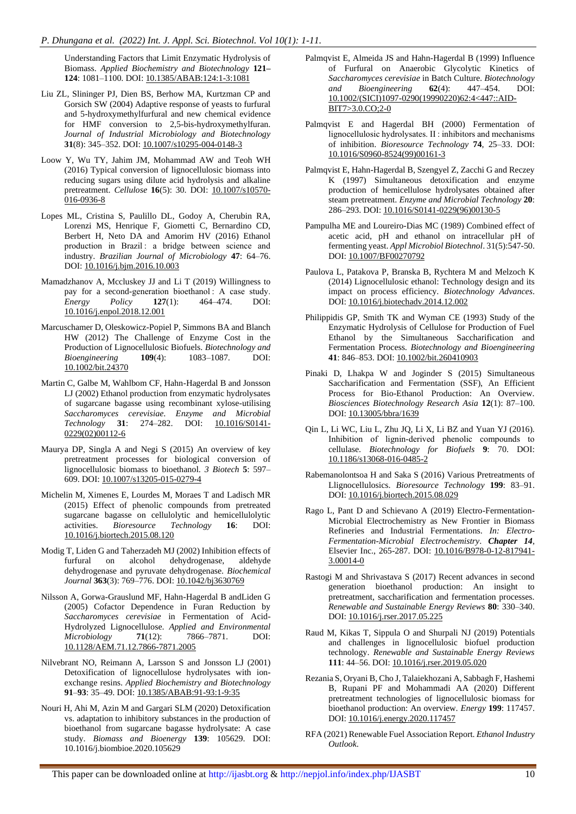Understanding Factors that Limit Enzymatic Hydrolysis of Biomass. *Applied Biochemistry and Biotechnology* **121– 124**: 1081–1100. DOI[: 10.1385/ABAB:124:1-3:1081](https://doi.org/10.1385/ABAB:124:1-3:1081)

- Liu ZL, Slininger PJ, Dien BS, Berhow MA, Kurtzman CP and Gorsich SW (2004) Adaptive response of yeasts to furfural and 5-hydroxymethylfurfural and new chemical evidence for HMF conversion to 2,5-bis-hydroxymethylfuran. *Journal of Industrial Microbiology and Biotechnology* **31**(8): 345–352. DOI[: 10.1007/s10295-004-0148-3](https://doi.org/10.1007/s10295-004-0148-3)
- Loow Y, Wu TY, Jahim JM, Mohammad AW and Teoh WH (2016) Typical conversion of lignocellulosic biomass into reducing sugars using dilute acid hydrolysis and alkaline pretreatment. *Cellulose* **16**(5): 30. DOI: [10.1007/s10570-](https://doi.org/10.1007/s10570-016-0936-8) [016-0936-8](https://doi.org/10.1007/s10570-016-0936-8)
- Lopes ML, Cristina S, Paulillo DL, Godoy A, Cherubin RA, Lorenzi MS, Henrique F, Giometti C, Bernardino CD, Berbert H, Neto DA and Amorim HV (2016) Ethanol production in Brazil : a bridge between science and industry. *Brazilian Journal of Microbiology* **47**: 64–76. DOI[: 10.1016/j.bjm.2016.10.003](https://doi.org/10.1016/j.bjm.2016.10.003)
- Mamadzhanov A, Mccluskey JJ and Li T (2019) Willingness to pay for a second-generation bioethanol : A case study. *Energy Policy* **127**(1): 464–474. DOI: [10.1016/j.enpol.2018.12.001](https://doi.org/10.1016/j.enpol.2018.12.001)
- Marcuschamer D, Oleskowicz-Popiel P, Simmons BA and Blanch HW (2012) The Challenge of Enzyme Cost in the Production of Lignocellulosic Biofuels. *Biotechnology and Bioengineering* **109**(4): 1083–1087. DOI: [10.1002/bit.24370](https://doi.org/10.1002/bit.24370)
- Martin C, Galbe M, Wahlbom CF, Hahn-Hagerdal B and Jonsson LJ (2002) Ethanol production from enzymatic hydrolysates of sugarcane bagasse using recombinant xylose-utilising *Saccharomyces cerevisiae*. *Enzyme and Microbial Technology* **31**: 274–282. DOI: 10.1016/S0141- 0229(02)00112-6
- Maurya DP, Singla A and Negi S (2015) An overview of key pretreatment processes for biological conversion of lignocellulosic biomass to bioethanol. *3 Biotech* **5**: 597– 609. DOI: 10.1007/s13205-015-0279-4
- Michelin M, Ximenes E, Lourdes M, Moraes T and Ladisch MR (2015) Effect of phenolic compounds from pretreated sugarcane bagasse on cellulolytic and hemicellulolytic activities. *Bioresource Technology* **16**: DOI: 10.1016/j.biortech.2015.08.120
- Modig T, Liden G and Taherzadeh MJ (2002) Inhibition effects of furfural on alcohol dehydrogenase, aldehyde dehydrogenase and pyruvate dehydrogenase. *Biochemical Journal* **363**(3): 769–776. DOI: 10.1042/bj3630769
- Nilsson A, Gorwa-Grauslund MF, Hahn-Hagerdal B andLiden G (2005) Cofactor Dependence in Furan Reduction by *Saccharomyces cerevisiae* in Fermentation of Acid-Hydrolyzed Lignocellulose. *Applied and Environmental Microbiology* **71**(12): 7866–7871. DOI: 10.1128/AEM.71.12.7866-7871.2005
- Nilvebrant NO, Reimann A, Larsson S and Jonsson LJ (2001) Detoxification of lignocellulose hydrolysates with ionexchange resins. *Applied Biochemistry and Biotechnology*  **91**–**93**: 35–49. DOI: 10.1385/ABAB:91-93:1-9:35
- Nouri H, Ahi M, Azin M and Gargari SLM (2020) Detoxification vs. adaptation to inhibitory substances in the production of bioethanol from sugarcane bagasse hydrolysate: A case study. *Biomass and Bioenergy* **139**: 105629. DOI: 10.1016/j.biombioe.2020.105629
- Palmqvist E, Almeida JS and Hahn-Hagerdal B (1999) Influence of Furfural on Anaerobic Glycolytic Kinetics of *Saccharomyces cerevisiae* in Batch Culture. *Biotechnology and Bioengineering* **62**(4): 447–454. DOI: 10.1002/(SICI)1097-0290(19990220)62:4<447::AID-BIT7>3.0.CO;2-0
- Palmqvist E and Hagerdal BH (2000) Fermentation of lignocellulosic hydrolysates. II : inhibitors and mechanisms of inhibition. *Bioresource Technology* **74**, 25–33. DOI: [10.1016/S0960-8524\(99\)00161-3](https://doi.org/10.1016/S0960-8524(99)00161-3)
- Palmqvist E, Hahn-Hagerdal B, Szengyel Z, Zacchi G and Reczey K (1997) Simultaneous detoxification and enzyme production of hemicellulose hydrolysates obtained after steam pretreatment. *Enzyme and Microbial Technology* **20**: 286–293. DOI: 10.1016/S0141-0229(96)00130-5
- Pampulha ME and Loureiro-Dias MC (1989) Combined effect of acetic acid, pH and ethanol on intracellular pH of fermenting yeast. *Appl Microbiol Biotechnol*. 31(5):547-50. DOI[: 10.1007/BF00270792](https://doi.org/10.1007/BF00270792)
- Paulova L, Patakova P, Branska B, Rychtera M and Melzoch K (2014) Lignocellulosic ethanol: Technology design and its impact on process efficiency. *Biotechnology Advances*. DOI[: 10.1016/j.biotechadv.2014.12.002](https://doi.org/10.1016/j.biotechadv.2014.12.002)
- Philippidis GP, Smith TK and Wyman CE (1993) Study of the Enzymatic Hydrolysis of Cellulose for Production of Fuel Ethanol by the Simultaneous Saccharification and Fermentation Process. *Biotechnology and Bioengineering* **41**: 846–853. DOI[: 10.1002/bit.260410903](https://doi.org/10.1002/bit.260410903)
- Pinaki D, Lhakpa W and Joginder S (2015) Simultaneous Saccharification and Fermentation (SSF), An Efficient Process for Bio-Ethanol Production: An Overview. *Biosciences Biotechnology Research Asia* **12**(1): 87–100. DOI[: 10.13005/bbra/1639](https://doi.org/10.13005/bbra/1639)
- Qin L, Li WC, Liu L, Zhu JQ, Li X, Li BZ and Yuan YJ (2016). Inhibition of lignin-derived phenolic compounds to cellulase. *Biotechnology for Biofuels* **9**: 70. DOI: [10.1186/s13068-016-0485-2](https://doi.org/10.1186/s13068-016-0485-2)
- Rabemanolontsoa H and Saka S (2016) Various Pretreatments of Llignocellulosics. *Bioresource Technology* **199**: 83–91. DOI[: 10.1016/j.biortech.2015.08.029](https://doi.org/10.1016/j.biortech.2015.08.029)
- Rago L, Pant D and Schievano A (2019) Electro-Fermentation-Microbial Electrochemistry as New Frontier in Biomass Refineries and Industrial Fermentations. *In: Electro-Fermentation-Microbial Electrochemistry*. *Chapter 14*, Elsevier Inc., 265-287. DOI: [10.1016/B978-0-12-817941-](https://doi.org/10.1016/B978-0-12-817941-3.00014-0) [3.00014-0](https://doi.org/10.1016/B978-0-12-817941-3.00014-0)
- Rastogi M and Shrivastava S (2017) Recent advances in second generation bioethanol production: An insight to pretreatment, saccharification and fermentation processes. *Renewable and Sustainable Energy Reviews* **80**: 330–340. DOI[: 10.1016/j.rser.2017.05.225](https://doi.org/10.1016/j.rser.2017.05.225)
- Raud M, Kikas T, Sippula O and Shurpali NJ (2019) Potentials and challenges in lignocellulosic biofuel production technology. *Renewable and Sustainable Energy Reviews* **111**: 44–56. DOI[: 10.1016/j.rser.2019.05.020](https://doi.org/10.1016/j.rser.2019.05.020)
- Rezania S, Oryani B, Cho J, Talaiekhozani A, Sabbagh F, Hashemi B, Rupani PF and Mohammadi AA (2020) Different pretreatment technologies of lignocellulosic biomass for bioethanol production: An overview. *Energy* **199**: 117457. DOI[: 10.1016/j.energy.2020.117457](https://doi.org/10.1016/j.energy.2020.117457)
- RFA (2021) Renewable Fuel Association Report. *Ethanol Industry Outlook*.